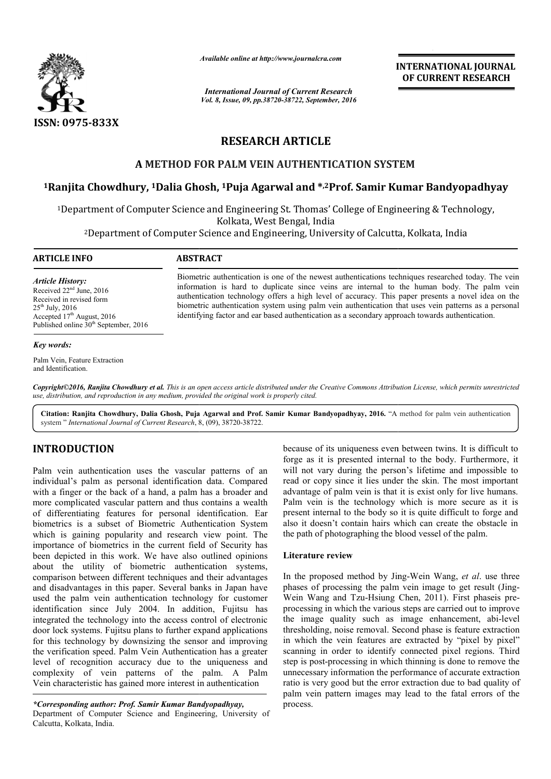

*Available online at http://www.journalcra.com*

*International Journal of Current Research Vol. 8, Issue, 09, pp.38720-38722, September, 2016* INTERNATIONAL JOURNAL OF CURRENT RESEARCH

# RESEARCH ARTICLE

### A METHOD FOR PALM VEIN AUTHENTICATION SYSTEM

# A METHOD FOR PALM VEIN AUTHENTICATION SYSTEM<br>IRanjita Chowdhury, <sup>1</sup>Dalia Ghosh, <sup>1</sup>Puja Agarwal and \*<sup>,2</sup>Prof. Samir Kumar Bandyopadhyay

<sup>1</sup>Department of Computer Science and Engineering St. Thomas' College of Engineering & Technology, Kolkata, West Bengal, India

2Department of Computer Science and Engineering, University of Calcutta, Kolkata, India Department of Calcutta,

# ARTICLE INFO ABSTRACT

*Article History:* Received 22nd June, 2016 Received in revised form  $25<sup>th</sup>$  July, 2016 Accepted 17<sup>th</sup> August, 2016 Published online 30<sup>th</sup> September, 2016

#### *Key words:*

Palm Vein, Feature Extraction and Identification.

Biometric authentication is one of the newest authentications techniques researched today. The vein information is hard to duplicate since veins are internal to the human body. The palm vein authentication technology offers a high level of accuracy. This paper presents a novel idea on the biometric authentication system using palm vein authentication that uses vein patterns as a personal identifying factor and ear based authentication as a secondary approach towards authentication. Biometric authentication is one of the newest authentications techniques researched today. The vinformation is hard to duplicate since veins are internal to the human body. The palm vauthentication technology offers a high

*Copyright©2016, Ranjita Chowdhury et al. This is an open access article distributed under the Creative Commons Att Attribution License, which ribution permits unrestricted use, distribution, and reproduction in any medium, provided the original work is properly cited.*

Citation: Ranjita Chowdhury, Dalia Ghosh, Puja Agarwal and Prof. Samir Kumar Bandyopadhyay, 2016. "A method for palm vein authentication system " *International Journal of Current Research*, 8, (09), 38720-38722.

## INTRODUCTION

Palm vein authentication uses the vascular patterns of an individual's palm as personal identification data. Compared with a finger or the back of a hand, a palm has a broader and more complicated vascular pattern and thus contains a wealth of differentiating features for personal identification. Ear biometrics is a subset of Biometric Authentication System which is gaining popularity and research view point. The importance of biometrics in the current field of Security has been depicted in this work. We have also outlined opinions about the utility of biometric authentication systems, comparison between different techniques and their advantages and disadvantages in this paper. Several banks in Japan have used the palm vein authentication technology for customer identification since July 2004. In addition, Fujitsu has integrated the technology into the access control of electronic door lock systems. Fujitsu plans to further expand applications for this technology by downsizing the sensor and improving the verification speed. Palm Vein Authentication has a greater level of recognition accuracy due to the uniqueness and complexity of vein patterns of the palm. A Palm Vein characteristic has gained more interest in authentication larity and research view point. The<br>s in the current field of Security has<br>vork. We have also outlined opinions<br>biometric authentication systems,<br>ferent techniques and their advantages

*\*Corresponding author: Prof. Samir Kumar Bandyopadhyay,* Department of Computer Science and Engineering, University of Calcutta, Kolkata, India.

because of its uniqueness even between twins. It is difficult to forge as it is presented internal to the body. Furthermore, it will not vary during the person's lifetime and impossible to because of its uniqueness even between twins. It is difficult to forge as it is presented internal to the body. Furthermore, it will not vary during the person's lifetime and impossible to read or copy since it lies under advantage of palm vein is that it is exist only for live humans. Palm vein is the technology which is more secure as it is present internal to the body so it is quite difficult to forge and also it doesn't contain hairs which can create the obstacle in the path of photographing the blood vessel of the palm. palm vein is that it is exist only for live humans.<br>the technology which is more secure as it is<br>al to the body so it is quite difficult to forge and<br>it contain hairs which can create the obstacle in

#### Literature review

In the path of photographing the blood vessel of the palm.<br>**Literature review**<br>In the proposed method by Jing-Wein Wang, *et al*. use three phases of processing the palm vein image to get result (Jing-Wein Wang and Tzu-Hsiung Chen, 2011). First phaseis preprocessing in which the various steps are carried out to improve the image quality such as image enhancement, abi-level thresholding, noise removal. Second phase is feature extraction in which the vein features are extracted by "pixel by pixel" in which the vein features are extracted by "pixel by pixel" scanning in order to identify connected pixel regions. Third step is post-processing in which thinning is done to remove the unnecessary information the performance of accurate extraction ratio is very good but the error extraction due to bad quality of palm vein pattern images may lead to the fatal errors of the process. **INTERNATIONAL JOURNAL**<br> **OF CURRENT RESEARCH**<br> **OF CURRENT RESEARCH**<br> **CONDITY CONDITY**<br> **CONDITY**<br> **CONDITY**<br> **CONDITY**<br> **CONDITY**<br> **CONDITY**<br> **CONDITY**<br> **CONDITY**<br> **CONDITY**<br> **CONDITY**<br> **CONDITY**<br> **CONDITY**<br> **CONDITY**<br>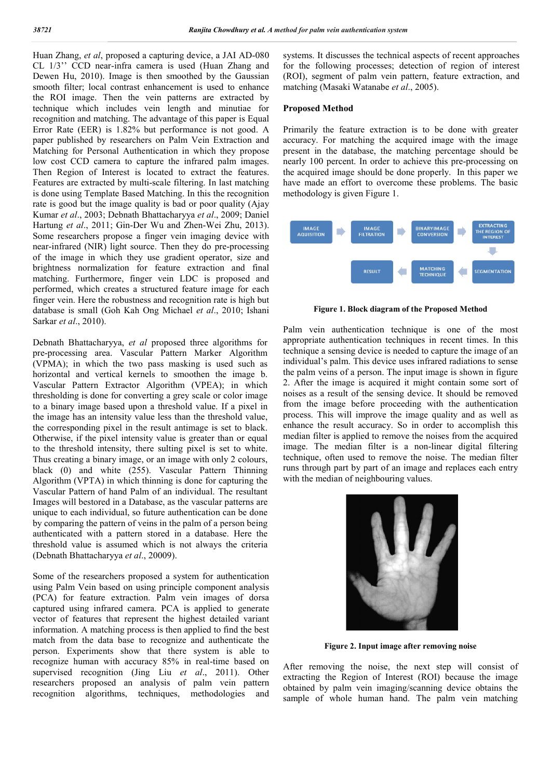Huan Zhang, *et al*, proposed a capturing device, a JAI AD-080 CL 1/3'' CCD near-infra camera is used (Huan Zhang and Dewen Hu, 2010). Image is then smoothed by the Gaussian smooth filter; local contrast enhancement is used to enhance the ROI image. Then the vein patterns are extracted by technique which includes vein length and minutiae for recognition and matching. The advantage of this paper is Equal Error Rate (EER) is 1.82% but performance is not good. A paper published by researchers on Palm Vein Extraction and Matching for Personal Authentication in which they propose low cost CCD camera to capture the infrared palm images. Then Region of Interest is located to extract the features. Features are extracted by multi-scale filtering. In last matching is done using Template Based Matching. In this the recognition rate is good but the image quality is bad or poor quality (Ajay Kumar *et al*., 2003; Debnath Bhattacharyya *et al*., 2009; Daniel Hartung *et al*., 2011; Gin-Der Wu and Zhen-Wei Zhu, 2013). Some researchers propose a finger vein imaging device with near-infrared (NIR) light source. Then they do pre-processing of the image in which they use gradient operator, size and brightness normalization for feature extraction and final matching. Furthermore, finger vein LDC is proposed and performed, which creates a structured feature image for each finger vein. Here the robustness and recognition rate is high but database is small (Goh Kah Ong Michael *et al*., 2010; Ishani Sarkar *et al*., 2010).

Debnath Bhattacharyya, *et al* proposed three algorithms for pre-processing area. Vascular Pattern Marker Algorithm (VPMA); in which the two pass masking is used such as horizontal and vertical kernels to smoothen the image b. Vascular Pattern Extractor Algorithm (VPEA); in which thresholding is done for converting a grey scale or color image to a binary image based upon a threshold value. If a pixel in the image has an intensity value less than the threshold value, the corresponding pixel in the result antimage is set to black. Otherwise, if the pixel intensity value is greater than or equal to the threshold intensity, there sulting pixel is set to white. Thus creating a binary image, or an image with only 2 colours, black (0) and white (255). Vascular Pattern Thinning Algorithm (VPTA) in which thinning is done for capturing the Vascular Pattern of hand Palm of an individual. The resultant Images will bestored in a Database, as the vascular patterns are unique to each individual, so future authentication can be done by comparing the pattern of veins in the palm of a person being authenticated with a pattern stored in a database. Here the threshold value is assumed which is not always the criteria (Debnath Bhattacharyya *et al*., 20009).

Some of the researchers proposed a system for authentication using Palm Vein based on using principle component analysis (PCA) for feature extraction. Palm vein images of dorsa captured using infrared camera. PCA is applied to generate vector of features that represent the highest detailed variant information. A matching process is then applied to find the best match from the data base to recognize and authenticate the person. Experiments show that there system is able to recognize human with accuracy 85% in real-time based on supervised recognition (Jing Liu *et al*., 2011). Other researchers proposed an analysis of palm vein pattern recognition algorithms, techniques, methodologies and systems. It discusses the technical aspects of recent approaches for the following processes; detection of region of interest (ROI), segment of palm vein pattern, feature extraction, and matching (Masaki Watanabe *et al*., 2005).

#### Proposed Method

Primarily the feature extraction is to be done with greater accuracy. For matching the acquired image with the image present in the database, the matching percentage should be nearly 100 percent. In order to achieve this pre-processing on the acquired image should be done properly. In this paper we have made an effort to overcome these problems. The basic methodology is given Figure 1.



Figure 1. Block diagram of the Proposed Method

Palm vein authentication technique is one of the most appropriate authentication techniques in recent times. In this technique a sensing device is needed to capture the image of an individual's palm. This device uses infrared radiations to sense the palm veins of a person. The input image is shown in figure 2. After the image is acquired it might contain some sort of noises as a result of the sensing device. It should be removed from the image before proceeding with the authentication process. This will improve the image quality and as well as enhance the result accuracy. So in order to accomplish this median filter is applied to remove the noises from the acquired image. The median filter is a non-linear digital filtering technique, often used to remove the noise. The median filter runs through part by part of an image and replaces each entry with the median of neighbouring values.



Figure 2. Input image after removing noise

After removing the noise, the next step will consist of extracting the Region of Interest (ROI) because the image obtained by palm vein imaging/scanning device obtains the sample of whole human hand. The palm vein matching